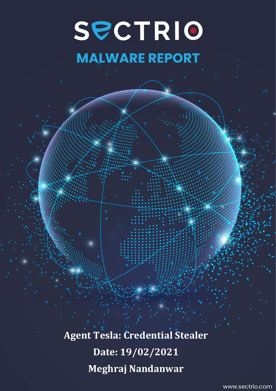# SPCTRIO

# **MALWARE REPORT**

**Agent Tesla: Credential Stealer Date: 19/02/2021 Meghraj Nandanwar**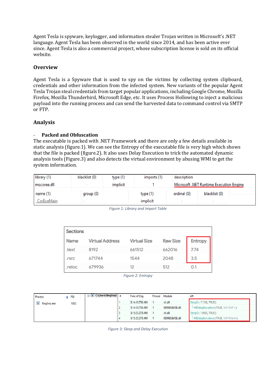Agent Tesla is spyware, keylogger, and information stealer Trojan written in Microsoft's .NET language. Agent Tesla has been observed in the world since 2014, and has been active ever since. Agent Tesla is also a commercial project, whose subscription license is sold on its official website.

#### **Overview**

Agent Tesla is a Spyware that is used to spy on the victims by collecting system clipboard, credentials and other information from the infected system. New variants of the popular Agent Tesla Trojan steal credentials from target popular applications, including Google Chrome, Mozilla Firefox, Mozilla Thunderbird, Microsoft Edge, etc. It uses Process Hollowing to inject a malicious payload into the running process and can send the harvested data to command control via SMTP or FTP.

#### **Analysis**

#### - **Packed and Obfuscation**

The executable is packed with .NET Framework and there are only a few details available in static analysis (figure.1). We can see the Entropy of the executable file is very high which shows that the file is packed (figure.2). It also uses Delay Execution to trick the automated dynamic analysis tools (Figure.3) and also detects the virtual environment by abusing WMI to get the system information.

| library (1) | blacklist (0) | type $(1)$ | imports (1) | description |                                         |
|-------------|---------------|------------|-------------|-------------|-----------------------------------------|
| mscoree.dll |               | implicit   |             |             | Microsoft .NET Runtime Execution Engine |
| name $(1)$  | group (0)     |            | type(1)     | ordinal (0) | blacklist (0)                           |
| CorExeMain  | $\sim$        |            | implicit    |             |                                         |

| <b>Sections</b> |                        |                     |                 |                |
|-----------------|------------------------|---------------------|-----------------|----------------|
| <b>Name</b>     | <b>Virtual Address</b> | <b>Virtual Size</b> | <b>Raw Size</b> | <b>Entropy</b> |
| .text           | 8192                   | 661512              | 662016          | 7.74           |
| .rsrc           | 671744                 | 1544                | 2048            | 3.5            |
| .reloc          | 679936                 | 12                  | 512             | 0.1            |

*Figure 1: Library and Import Table*

*Figure 2: Entropy*

| Process        |  | <b>PID</b>     | <b>THE C:\Users\Meghraj\</b> # | Time of Day    | Thread   Module       | API                                   |
|----------------|--|----------------|--------------------------------|----------------|-----------------------|---------------------------------------|
| $RegSvcs.$ exe |  | 1852           |                                | 3:14:10.736 AM | cir.dil               | SleepEx (71396, TRUE)                 |
|                |  |                |                                | 3:14:10.736 AM | KERNELBASE.dll        | NtDelayExecution (TRUE, 0x010fdf1c)   |
|                |  | 3:15:22.278 AM |                                | cir.dil        | SleepEx (10000, TRUE) |                                       |
|                |  |                |                                | 3:15:22.278 AM | KERNELBASE.dll        | - NtDelayExecution (TRUE, 0x010fda54) |

*Figure 3: Sleep and Delay Execution*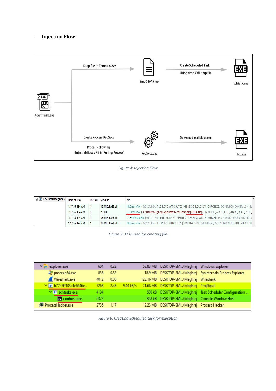### - **Injection Flow**



*Figure 4: Injection Flow*

| <b>E</b> C:\Users\Meghraj\  Time of Day |                | Thread | Module         | API                                                                                                        |  |
|-----------------------------------------|----------------|--------|----------------|------------------------------------------------------------------------------------------------------------|--|
|                                         | 1:17:55.194 AM |        | KERNELBASE.dll | NtCreateFile (0x012fdb24, FILE_READ_ATTRIBUTES   GENERIC_READ   SYNCHRONIZE, 0x012fdb50, 0x012fdb28, NU    |  |
|                                         | 1:17:55.194 AM |        | cir.dii        | CreateFileW ( "C:\Users\Meghraj\AppData\Local\Temp\tmpD19A.tmp", GENERIC_WRITE, FILE_SHARE_READ, NULL,     |  |
|                                         | 1:17:55.194 AM |        | KERNELBASE.dll | "-NtCreateFile (0x012fd90c, FILE_READ_ATTRIBUTES   GENERIC_WRITE   SYNCHRONIZE, 0x012fd938, 0x012fd910     |  |
|                                         | 1:17:55.194 AM |        | KERNELBASE.dll | NtCreateFile (0x012fbf8c, FILE READ ATTRIBUTES   SYNCHRONIZE, 0x012fbfb8, 0x012fbf90, NULL, FILE ATTRIBUTE |  |

*Figure 5: APIs used for creating file*

| $\sqrt{2}$ explorer.exe    | 604  | 0.22    |  | 53.83 MB DESKTOP-SM\Meghraj Windows Explorer     |                                                          |
|----------------------------|------|---------|--|--------------------------------------------------|----------------------------------------------------------|
| $\mathbb{Q}$ procexp64.exe | 836  | 0.82    |  |                                                  | 18.9 MB DESKTOP-SM\Meghraj Sysinternals Process Explorer |
| Wireshark.exe              | 4012 | 0.06    |  | 123.16 MB DESKTOP-SM\Meghraj Wireshark           |                                                          |
| V B b77b7ff103a1e6646e     | 7268 | $-2.48$ |  | 9.44 kB/s 21.68 MB DESKTOP-SM\Meghraj ProjDipali |                                                          |
| V <b>IF</b> schtasks.exe   | 4104 |         |  |                                                  | 680 kB DESKTOP-SM\Meghraj Task Scheduler Configuration   |
| conhost.exe                | 6372 |         |  | 868 kB DESKTOP-SM\Meghraj Console Window Host    |                                                          |
| pocessHacker.exe           | 2736 | 1.17    |  | 12.23 MB DESKTOP-SM\Meghraj Process Hacker       |                                                          |
|                            |      |         |  |                                                  |                                                          |

*Figure 6: Creating Scheduled task for execution*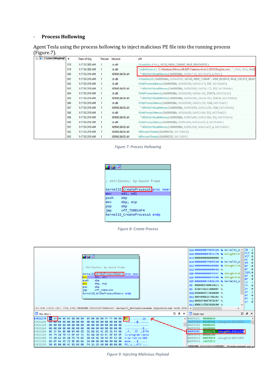#### - **Process Hollowing**

Agent Tesla using the process hollowing to inject malicious PE file into the running process (Figure.7).

| <b>Fig. 1: C:\Users\Meghraj\ #</b> |     | Time of Day    | Thread | Module         | API                                                                                                |
|------------------------------------|-----|----------------|--------|----------------|----------------------------------------------------------------------------------------------------|
|                                    | 578 | 1:17:55.303 AM |        | cir.dil        | VirtualAlloc (NULL, 65536, MEM_COMMIT, PAGE_READWRITE )                                            |
|                                    | 579 | 1:17:55.303 AM |        | cir.dil        | CreateProcessA ("C:\Windows\Microsoft.NET\Framework\v4.0.30319\RegSvcs.exe", "", NULL, NULL, FALSE |
|                                    | 580 | 1:17:55.319 AM |        | KERNELBASE.dll | - NtWriteVirtualMemory (0x0000066c, 0x008c21e8, 0x012fcd78, 4, NULL)                               |
|                                    | 581 | 1:17:55.319 AM |        | cir.dil        | VirtualAllocEx (0x0000066c, 0x00400000, 245760, MEM_COMMIT   MEM_RESERVE, PAGE_EXECUTE_READ)       |
|                                    | 582 | 1:17:55.319 AM |        | cir.dil        | WriteProcessMemory (0x0000066c, 0x00400000, 0x055b1270, 512, 0x012fdd20)                           |
|                                    | 583 | 1:17:55.319 AM |        | KERNELBASE.dll |                                                                                                    |
|                                    | 584 | 1:17:55.319 AM |        | cir.dil        | WriteProcessMemory (0x0000066c, 0x00402000, 0x054a1e00, 216576, 0x012fdd20)                        |
|                                    | 585 | 1:17:55.319 AM |        | KERNELBASE.dll | - NtWriteVirtualMemory (0x0000066c, 0x00402000, 0x054a1e00, 216576, 0x012fd9d4)                    |
|                                    | 586 | 1:17:55.319 AM |        | cir.dil        | WriteProcessMemory (0x0000066c, 0x00438000, 0x0432c258, 1536, 0x012fdd20)                          |
|                                    | 587 | 1:17:55.319 AM |        | KERNELBASE.dll | --- NtWriteVirtualMemory (0x0000066c, 0x00438000, 0x0432c258, 1536, 0x012fd9d4)                    |
|                                    | 588 | 1:17:55.319 AM |        | cir.dil        | WriteProcessMemory (0x0000066c, 0x0043a000, 0x0432c864, 512, 0x012fdd20)                           |
|                                    | 589 | 1:17:55.319 AM |        | KERNELBASE.dll | "NtWriteVirtualMemory (0x0000066c, 0x0043a000, 0x0432c864, 512, 0x012fd9d4)                        |
|                                    | 590 | 1:17:55.319 AM |        | cir.dil        | WriteProcessMemory (0x0000066c, 0x008c2008, 0x0432ca70, 4, 0x012fdd20)                             |
|                                    | 591 | 1:17:55.319 AM |        | KERNELBASE.dll | --- NtWriteVirtualMemory (0x0000066c, 0x008c2008, 0x0432ca70, 4, 0x012fd9d4)                       |
|                                    | 592 | 1:17:55.319 AM |        | KERNELBASE.dll | NtResumeThread (0x00000550,0x012fdb00)                                                             |
|                                    | 593 | 1:17:55.319 AM |        | KERNELBASE.dll | NtResumeThread (0x00000530, 0x012fd8f8)                                                            |

*Figure 7: Process Hollowing*

|      | ; Attributes: bp-based frame      |
|------|-----------------------------------|
|      | kernel32 CreateProcessA proc near |
| mov  | edi, edi                          |
| push | ebp                               |
| mov  | ebp, esp                          |
| pop  | ebp                               |
| jmp  | off 75BB14F4                      |
|      | kernel32 CreateProcessA endp      |
|      |                                   |

*Figure 8: Create Process*



*Figure 9: Injecting Malicious Payload*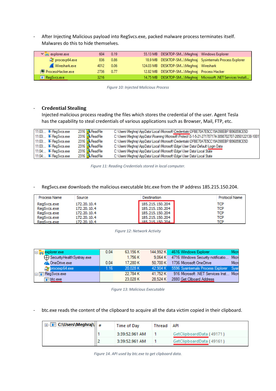- After Injecting Malicious payload into RegSvcs.exe, packed malware process terminates itself. Malwares do this to hide themselves.

| $\vee$ <sub>P</sub> explorer.exe | 604       | 0.19 | 55.13 MB DESKTOP-SM\Meghraj Windows Explorer |                                                             |
|----------------------------------|-----------|------|----------------------------------------------|-------------------------------------------------------------|
| $\mathbb{Q}$ procexp64.exe       | 836 0.86  |      |                                              | 18.9 MB DESKTOP-SM\Meghraj Sysinternals Process Explorer    |
| Wireshark.exe                    | 4012      | 0.06 | 124.03 MB DESKTOP-SM\Meghraj Wireshark       |                                                             |
| pocessHacker.exe                 | 2736 0.77 |      | 12.82 MB  DESKTOP-SM\Meghraj  Process Hacker |                                                             |
| <b>E</b> RegSvcs.exe             | 3216      |      |                                              | 14.75 MB DESKTOP-SM\Meghraj Microsoft .NET Services Install |

*Figure 10: Injected Malicious Process*

#### - **Credential Stealing**

Injected malicious process reading the files which stores the credential of the user. Agent Tesla has the capability to steal credentials of various applications such as Browser, Mail, FTP, etc.

| 11:03: <b>IF</b> ReaSvcs.exe | 2316 <b>ReadFile</b>   | C:\Users\Meghraj\AppData\Local\Microsoft\Credentials\DFBE70A7E5CC19A398EBF1B96859CE5D            |
|------------------------------|------------------------|--------------------------------------------------------------------------------------------------|
| 11:03: <b>■ RegSvcs.exe</b>  | 2316 ReadFile          | C:\Users\Meghraj\AppData\Roaming\Microsoft\Protect\S-1-5-21-271707174-3898702707-2850122138-1001 |
| 11:03: <b>IF</b> ReaSvcs.exe | 2316 ReadFile          | C:\Users\Meghraj\AppData\Local\Microsoft\Credentials\DFBE70A7E5CC19A398EBF1B96859CE5D            |
| 11:03: <b>IF</b> RegSvcs.exe | 2316 ReadFile          | C:\Users\Meghraj\AppData\Local\Microsoft\Edge\User Data\Default\Login Data                       |
| 11:04: <b>E</b> RegSvcs.exe  | 2316 ReadFile          | C:\Users\Meghraj\AppData\Local\Microsoft\Edge\User Data\Local State                              |
| 11:04: EReqSvcs.exe          | 2316 <b>R</b> ReadFile | C:\Users\Meghraj\AppData\Local\Microsoft\Edge\User Data\Local State                              |

*Figure 11: Reading Credentials stored in local computer.*

#### RegSvcs.exe downloads the malicious executable btc.exe from the IP address 185.215.150.204.

| Process Name | Source      | Destination     | Protocol Name |
|--------------|-------------|-----------------|---------------|
| RegSvcs.exe  | 172.20.10.4 | 185.215.150.204 | TCP           |
| RegSvcs.exe  | 172.20.10.4 | 185.215.150.204 | <b>TCP</b>    |
| RegSvcs.exe  | 172.20.10.4 | 185.215.150.204 | <b>TCP</b>    |
| ReaSvcs.exe  | 172.20.10.4 | 185.215.150.204 | TCP           |
| ReaSvcs.exe  | 172.20.10.4 | 185 215 150 204 | TCP           |

*Figure 12: Network Activity*

| $\Box$ explorer.exe         | 0.04 | 63,156 K |          | 144,992 K 4616 Windows Explorer                  | Micn |
|-----------------------------|------|----------|----------|--------------------------------------------------|------|
| Security Health Systray exe |      | 1.756 K  | 9.064 K  | 4716 Windows Security notificatio Micn           |      |
| <b>ConeDrive.exe</b>        | 0.04 | 17.280 K | 50.700 K | 1736 Microsoft OneDrive                          | Micn |
| <b>C</b> yprocexp64.exe     | 1.16 | 20.028 K |          | 42,904 K 5596 Sysintemals Process Explorer Sysin |      |
| <b>E RegSvcs.exe</b>        |      | 22.784 K | 41.752 K | 916 Microsoft .NET Services Inst Micro           |      |
| $\blacksquare$ btc.exe      |      | 23,028 K | 28.524 K | 2880 Get Cliboard Address                        |      |

*Figure 13: Malicious Executable*

- btc.exe reads the content of the clipboard to acquire all the data victim copied in their clipboard.

| <b>⊞</b> C:\Users\Meghraj\  # | Time of Day    | Thread API |                          |
|-------------------------------|----------------|------------|--------------------------|
|                               | 3:39:52.961 AM |            | GetClipboardData (49171) |
|                               | 3:39:52.961 AM |            | GetClipboardData (49161) |

*Figure 14. API used by btc.exe to get clipboard data.*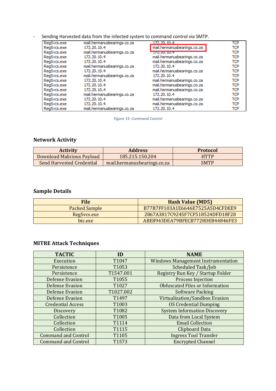| Sending Harvested data from the infected system to command control via SMTP. |  |
|------------------------------------------------------------------------------|--|
|                                                                              |  |

| RegSvcs.exe | mail.hermanusbearings.co.za | 172.20.10.4                 | <b>TCP</b> |
|-------------|-----------------------------|-----------------------------|------------|
| RegSvcs.exe | 172.20.10.4                 | mail.hermanusbearings.co.za | TCP        |
| RegSvcs.exe | mail.hermanusbearings.co.za | <b>Ly paraure Lunes</b>     | TCP        |
| RegSvcs.exe | 172.20.10.4                 | mail.hermanusbearings.co.za | TCP        |
| RegSvcs.exe | 172.20.10.4                 | mail.hermanusbearings.co.za | TCP        |
| RegSvcs.exe | mail.hermanusbearings.co.za | 172, 20, 10, 4              | TCP        |
| RegSvcs.exe | 172.20.10.4                 | mail.hermanusbearings.co.za | TCP        |
| RegSvcs.exe | mail.hermanusbearings.co.za | 172.20.10.4                 | TCP        |
| RegSvcs.exe | 172.20.10.4                 | mail.hermanusbearings.co.za | <b>TCP</b> |
| RegSvcs.exe | 172.20.10.4                 | mail.hermanusbearings.co.za | TCP        |
| RegSvcs.exe | 172.20.10.4                 | mail.hermanusbearings.co.za | TCP        |
| RegSvcs.exe | mail.hermanusbearings.co.za | 172.20.10.4                 | TCP        |
| RegSvcs.exe | 172.20.10.4                 | mail.hermanusbearings.co.za | TCP        |
| RegSvcs.exe | 172.20.10.4                 | mail.hermanusbearings.co.za | TCP        |
| RegSvcs.exe | mail.hermanusbearings.co.za | 172.20.10.4                 | TCP        |

*Figure 15: Command Control* 

# **Network Activity**

| <b>Activity</b>            | <b>Address</b>              | <b>Protocol</b> |
|----------------------------|-----------------------------|-----------------|
| Download Malicious Payload | 185.215.150.204             | <b>HTTP</b>     |
| Send Harvested Credential  | mail.hermanusbearings.co.za | <b>SMTP</b>     |

# **Sample Details**

| <b>File</b>          | <b>Hash Value (MD5)</b>          |
|----------------------|----------------------------------|
| <b>Packed Sample</b> | B77B7FF103A1E6646E7525A5D4CFDEE9 |
| RegSvcs.exe          | 2867A3817C9245F7CF518524DFD18F28 |
| btc.exe              | ABE8943DEA79BFECB7728DEB44846FE3 |

# **MITRE Attack Techniques**

| <b>TACTIC</b>              | ID        | <b>NAME</b>                               |
|----------------------------|-----------|-------------------------------------------|
| Execution                  | T1047     | <b>Windows Management Instrumentation</b> |
| Persistence                | T1053     | Scheduled Task/Job                        |
| Persistence                | T1547.001 | Registry Run Key / Startup Folder         |
| <b>Defense Evasion</b>     | T1055     | <b>Process Injection</b>                  |
| <b>Defense Evasion</b>     | T1027     | <b>Obfuscated Files or Information</b>    |
| <b>Defense Evasion</b>     | T1027.002 | <b>Software Packing</b>                   |
| <b>Defense Evasion</b>     | T1497     | Virtualization/Sandbox Evasion            |
| <b>Credential Access</b>   | T1003     | <b>OS Credential Dumping</b>              |
| <b>Discovery</b>           | T1082     | <b>System Information Discovery</b>       |
| Collection                 | T1005     | Data from Local System                    |
| Collection                 | T1114     | <b>Email Collection</b>                   |
| Collection                 | T1115     | <b>Clipboard Data</b>                     |
| <b>Command and Control</b> | T1105     | <b>Ingress Tool Transfer</b>              |
| <b>Command and Control</b> | T1573     | <b>Encrypted Channel</b>                  |